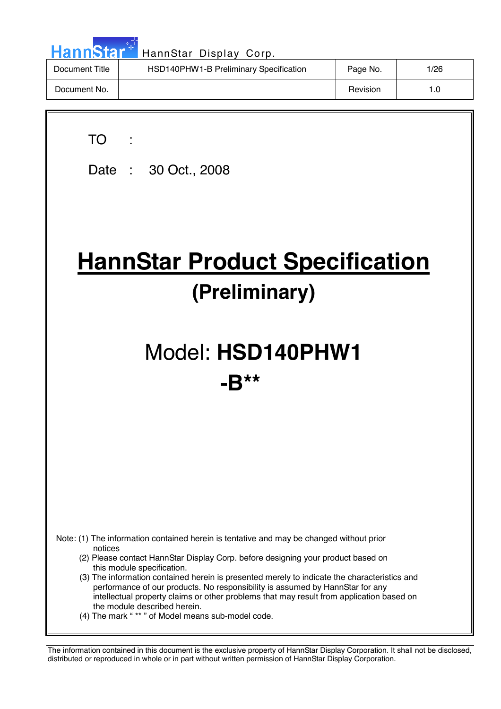| HannStar <sup>*</sup> | HannStar Display Corp.                 |          |      |
|-----------------------|----------------------------------------|----------|------|
| Document Title        | HSD140PHW1-B Preliminary Specification | Page No. | 1/26 |
| Document No.          |                                        | Revision | 1.0  |

 $\overline{\phantom{a}}$ 

| <b>TO</b><br>Date: 30 Oct., 2008                                                                                                                                                                                                                                                                                                                                                                                                                                                                                                                                                        |  |  |  |  |
|-----------------------------------------------------------------------------------------------------------------------------------------------------------------------------------------------------------------------------------------------------------------------------------------------------------------------------------------------------------------------------------------------------------------------------------------------------------------------------------------------------------------------------------------------------------------------------------------|--|--|--|--|
| <b>HannStar Product Specification</b><br>(Preliminary)                                                                                                                                                                                                                                                                                                                                                                                                                                                                                                                                  |  |  |  |  |
| Model: HSD140PHW1<br>$-10**$                                                                                                                                                                                                                                                                                                                                                                                                                                                                                                                                                            |  |  |  |  |
|                                                                                                                                                                                                                                                                                                                                                                                                                                                                                                                                                                                         |  |  |  |  |
| Note: (1) The information contained herein is tentative and may be changed without prior<br>notices<br>(2) Please contact HannStar Display Corp. before designing your product based on<br>this module specification.<br>(3) The information contained herein is presented merely to indicate the characteristics and<br>performance of our products. No responsibility is assumed by HannStar for any<br>intellectual property claims or other problems that may result from application based on<br>the module described herein.<br>(4) The mark "** " of Model means sub-model code. |  |  |  |  |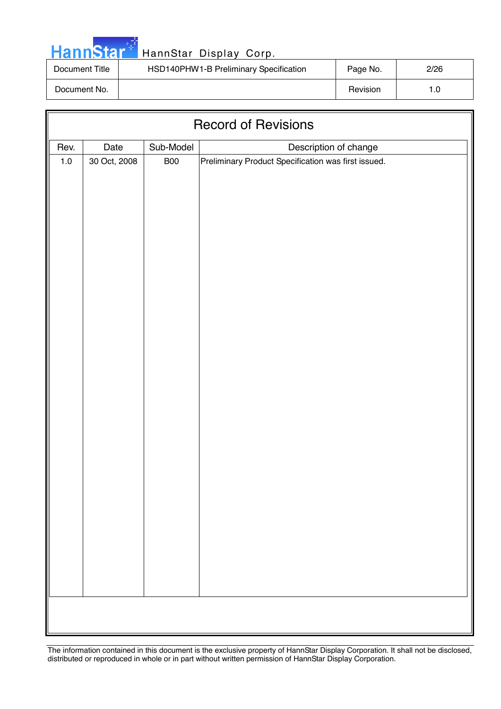| ann | Ð |  |
|-----|---|--|
|     |   |  |

| Document Title | HSD140PHW1-B Preliminary Specification | Page No. | 2/26 |
|----------------|----------------------------------------|----------|------|
| Document No.   |                                        | Revision |      |

| <b>Record of Revisions</b> |              |            |                                                     |  |  |  |
|----------------------------|--------------|------------|-----------------------------------------------------|--|--|--|
| Rev.                       | Date         | Sub-Model  | Description of change                               |  |  |  |
| $1.0\,$                    | 30 Oct, 2008 | <b>B00</b> | Preliminary Product Specification was first issued. |  |  |  |
|                            |              |            |                                                     |  |  |  |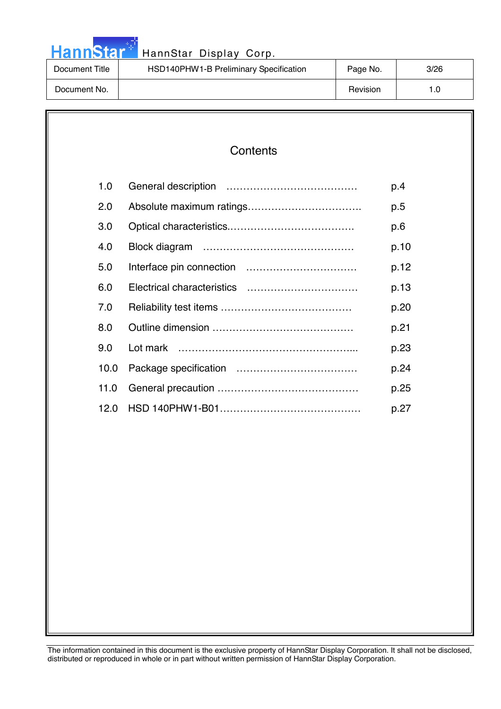|  |  | <b>HannStar</b> |  |
|--|--|-----------------|--|

| Document Title | HSD140PHW1-B Preliminary Specification | Page No. | 3/26 |
|----------------|----------------------------------------|----------|------|
| Document No.   |                                        | Revision | l.O  |

| 1.0  | p.4  |
|------|------|
| 2.0  | p.5  |
| 3.0  | p.6  |
| 4.0  | p.10 |
| 5.0  | p.12 |
| 6.0  | p.13 |
| 7.0  | p.20 |
| 8.0  | p.21 |
| 9.0  | p.23 |
| 10.0 | p.24 |
| 11.0 | p.25 |
| 12.0 | p.27 |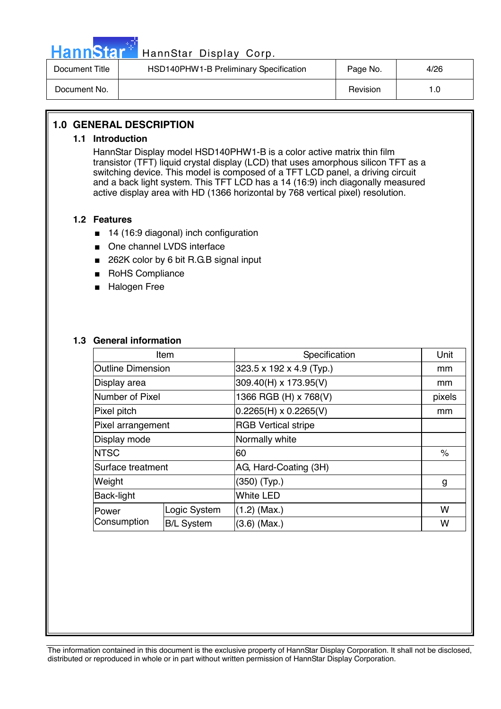

| Document Title | HSD140PHW1-B Preliminary Specification | Page No. | 4/26 |
|----------------|----------------------------------------|----------|------|
| Document No.   |                                        | Revision |      |

#### **1.0 GENERAL DESCRIPTION**

#### **1.1 Introduction**

HannStar Display model HSD140PHW1-B is a color active matrix thin film transistor (TFT) liquid crystal display (LCD) that uses amorphous silicon TFT as a switching device. This model is composed of a TFT LCD panel, a driving circuit and a back light system. This TFT LCD has a 14 (16:9) inch diagonally measured active display area with HD (1366 horizontal by 768 vertical pixel) resolution.

#### **1.2 Features**

- 14 (16:9 diagonal) inch configuration
- One channel LVDS interface
- 262K color by 6 bit R.G.B signal input
- RoHS Compliance
- Halogen Free

#### **1.3 General information**

| Item                     |                   | Specification                | Unit   |
|--------------------------|-------------------|------------------------------|--------|
| <b>Outline Dimension</b> |                   | 323.5 x 192 x 4.9 (Typ.)     | mm     |
| Display area             |                   | 309.40(H) x 173.95(V)        | mm     |
| Number of Pixel          |                   | 1366 RGB (H) x 768(V)        | pixels |
| Pixel pitch              |                   | $0.2265(H) \times 0.2265(V)$ | mm     |
| Pixel arrangement        |                   | <b>RGB Vertical stripe</b>   |        |
| Display mode             |                   | Normally white               |        |
| <b>NTSC</b>              |                   | 60                           | ℅      |
| Surface treatment        |                   | AG, Hard-Coating (3H)        |        |
| Weight                   |                   | $(350)$ (Typ.)               | g      |
| Back-light               |                   | <b>White LED</b>             |        |
| lPower                   | Logic System      | $(1.2)$ (Max.)               | w      |
| Consumption              | <b>B/L System</b> | $(3.6)$ (Max.)               | W      |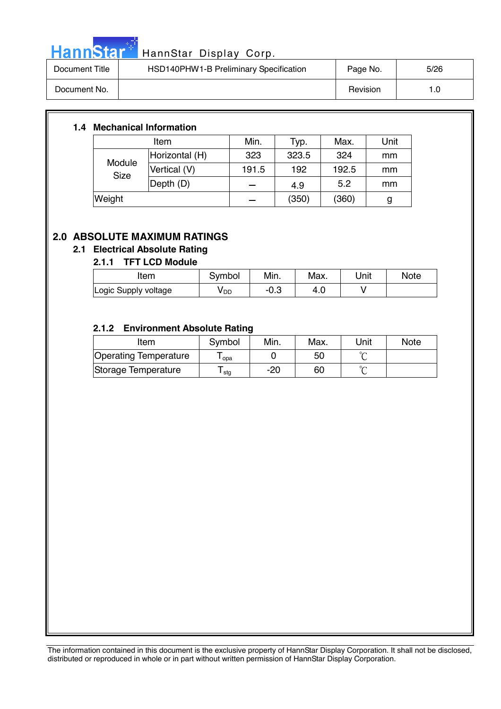

# HannStar<sup>t HannStar</sup> Display Corp.

| Document Title | HSD140PHW1-B Preliminary Specification | Page No. | 5/26 |
|----------------|----------------------------------------|----------|------|
| Document No.   |                                        | Revision | 1.O  |

#### **1.4 Mechanical Information**

|                       | Item           | Min.  | Typ.  | Max.  | Unit |
|-----------------------|----------------|-------|-------|-------|------|
|                       | Horizontal (H) | 323   | 323.5 | 324   | mm   |
| Module<br><b>Size</b> | Vertical (V)   | 191.5 | 192   | 192.5 | mm   |
|                       | Depth (D)      |       | 4.9   | 5.2   | mm   |
| Weight                |                |       | (350) | (360) | g    |

#### **2.0 ABSOLUTE MAXIMUM RATINGS**

#### **2.1 Electrical Absolute Rating**

#### **2.1.1 TFT LCD Module**

| Item                 | Symbol          | Min. | Max. | Unit | <b>Note</b> |
|----------------------|-----------------|------|------|------|-------------|
| Logic Supply voltage | y <sub>DD</sub> | −∪.ം |      |      |             |

#### **2.1.2 Environment Absolute Rating**

| Item                  | Symbol           | Min. | Max. | Unit   | <b>Note</b> |
|-----------------------|------------------|------|------|--------|-------------|
| Operating Temperature | opa              |      | 50   |        |             |
| Storage Temperature   | <sup>l</sup> stg | -20  | 60   | $\sim$ |             |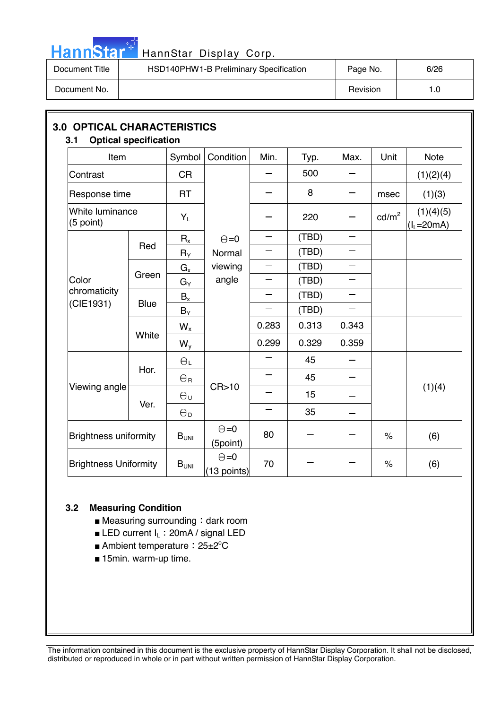

# HannStar<sup>: HannStar Display Corp.</sup>

| Document Title | HSD140PHW1-B Preliminary Specification | Page No. | 6/26 |
|----------------|----------------------------------------|----------|------|
| Document No.   |                                        | Revision | l .O |

| Item                               |             | Symbol                | Condition                   | Min.                     | Typ.  | Max.                     | Unit                 | <b>Note</b>              |
|------------------------------------|-------------|-----------------------|-----------------------------|--------------------------|-------|--------------------------|----------------------|--------------------------|
| Contrast                           |             | <b>CR</b>             |                             |                          | 500   |                          |                      | (1)(2)(4)                |
| Response time                      |             | <b>RT</b>             |                             |                          | 8     |                          | msec                 | (1)(3)                   |
| White luminance<br>(5 point)       |             | $Y_L$                 |                             |                          | 220   |                          | $\text{cd/m}^2$      | (1)(4)(5)<br>$(lL=20mA)$ |
|                                    |             | $R_{x}$               | $\Theta = 0$                | $\overline{\phantom{0}}$ | (TBD) | $\overline{\phantom{0}}$ |                      |                          |
| Color<br>chromaticity<br>(CIE1931) | Red         | $R_Y$                 | Normal                      |                          | (TBD) |                          |                      |                          |
|                                    | Green       | $G_{x}$               | viewing                     |                          | (TBD) | $\overline{\phantom{0}}$ |                      |                          |
|                                    |             | $G_Y$                 | angle                       |                          | (TBD) |                          |                      |                          |
|                                    | <b>Blue</b> | $B_x$                 |                             |                          | (TBD) |                          |                      |                          |
|                                    |             | $B_Y$                 |                             |                          | (TBD) |                          |                      |                          |
|                                    |             | $W_{x}$               |                             | 0.283                    | 0.313 | 0.343                    |                      |                          |
|                                    | White       | $W_{y}$               |                             | 0.299                    | 0.329 | 0.359                    |                      |                          |
|                                    |             | $\Theta_L$            |                             |                          | 45    |                          |                      |                          |
|                                    | Hor.        | $\Theta$ R            | CR>10                       | $\overline{\phantom{0}}$ | 45    |                          |                      |                          |
| Viewing angle                      |             | $\Theta_{U}$          |                             |                          | 15    |                          |                      | (1)(4)                   |
|                                    | Ver.        | $\Theta_{\mathsf{D}}$ |                             |                          | 35    |                          |                      |                          |
| <b>Brightness uniformity</b>       |             | B <sub>UNI</sub>      | $\Theta = 0$<br>(5point)    | 80                       |       |                          | $\frac{1}{\sqrt{2}}$ | (6)                      |
| <b>Brightness Uniformity</b>       |             | B <sub>UNI</sub>      | $\Theta = 0$<br>(13 points) | 70                       |       |                          | $\%$                 | (6)                      |

#### **3.2 Measuring Condition**

- $\blacksquare$  Measuring surrounding : dark room
- **Example 1** LED current  $I_L$  : 20mA / signal LED
- Ambient temperature: 25±2°C
- 15min. warm-up time.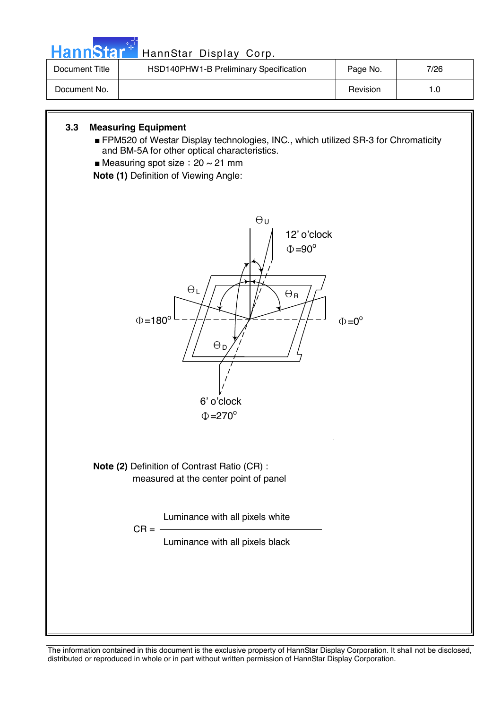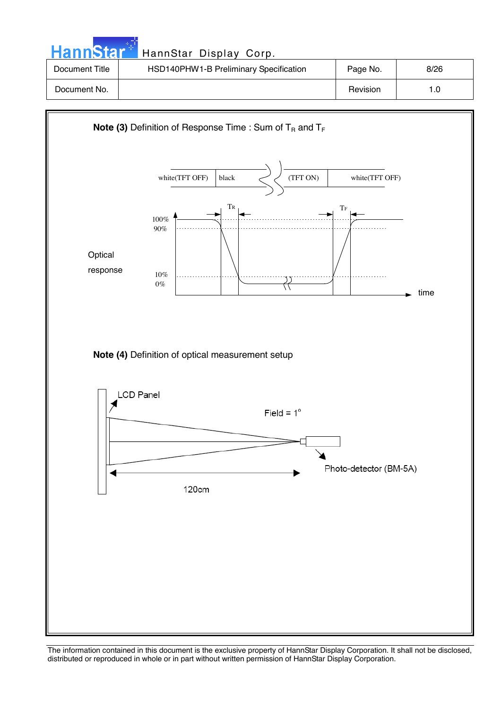| HannStar <sup>*</sup> | HannStar Display Corp.                 |          |      |
|-----------------------|----------------------------------------|----------|------|
| Document Title        | HSD140PHW1-B Preliminary Specification | Page No. | 8/26 |
| Document No.          |                                        | Revision | 1.0  |

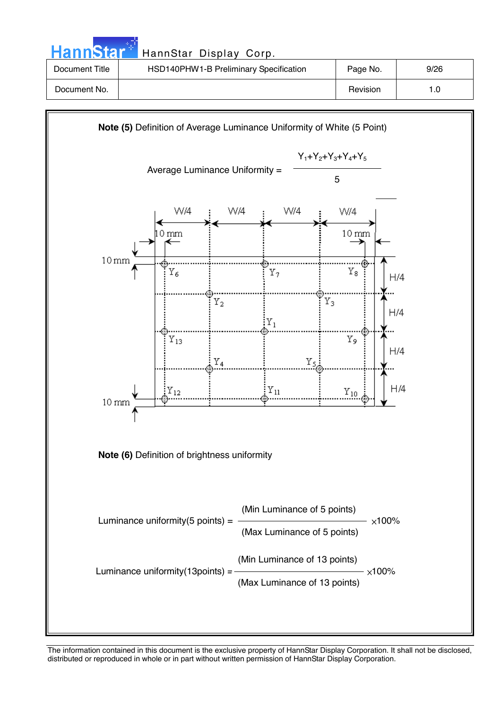| <b>HannStar</b> | HannStar Display Corp.                 |          |      |
|-----------------|----------------------------------------|----------|------|
| Document Title  | HSD140PHW1-B Preliminary Specification | Page No. | 9/26 |
| Document No.    |                                        | Revision | 1.0  |

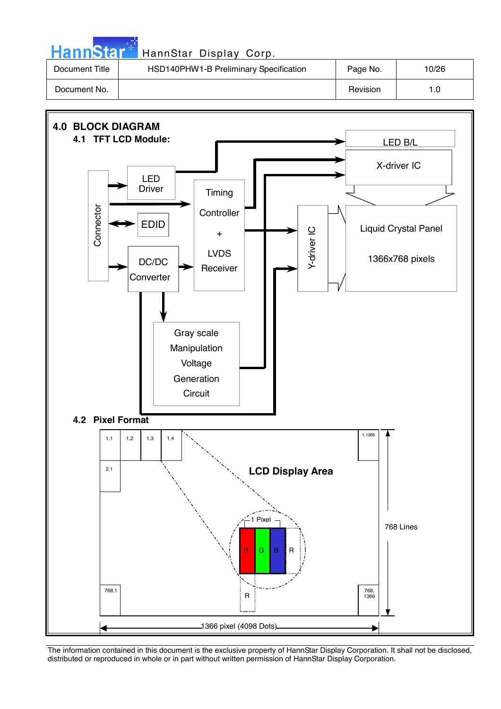| <b>HannStar*</b> | HannStar Display Corp.                 |          |       |
|------------------|----------------------------------------|----------|-------|
| Document Title   | HSD140PHW1-B Preliminary Specification | Page No. | 10/26 |
| Document No.     |                                        | Revision | 1.0   |

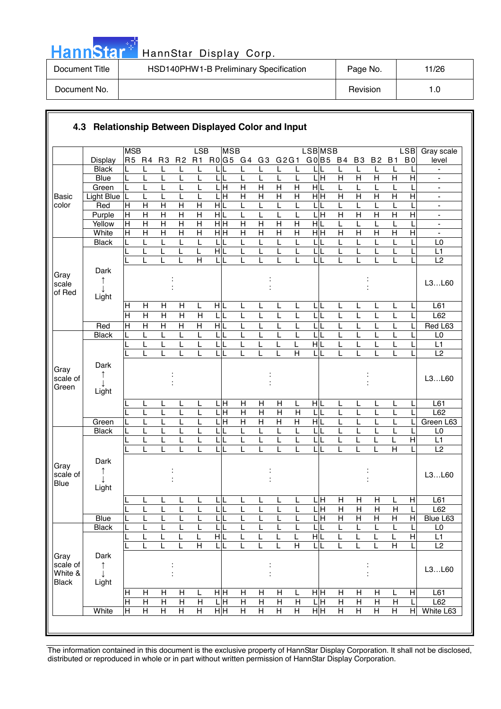| . . |  | annst |  |
|-----|--|-------|--|
|     |  |       |  |

| Document Title | HSD140PHW1-B Preliminary Specification | Page No. | 11/26 |
|----------------|----------------------------------------|----------|-------|
| Document No.   |                                        | Revision | 1.C   |

|                       |                     | <b>MSB</b>       |                   |                         |                         | LSB                     | <b>MSB</b>                       |                                  |                                  |                                |                                | <b>LSB</b> MSB                     |                |                         |                         |                | <b>LSB</b>     | Gray scale                       |
|-----------------------|---------------------|------------------|-------------------|-------------------------|-------------------------|-------------------------|----------------------------------|----------------------------------|----------------------------------|--------------------------------|--------------------------------|------------------------------------|----------------|-------------------------|-------------------------|----------------|----------------|----------------------------------|
|                       | Display             |                  | R5 R4             | R <sub>3</sub>          | R <sub>2</sub>          | R1                      | R0G5 G4                          |                                  | G3                               | G2G1                           |                                | G0 B5 B4                           |                | <b>B3</b>               | <b>B2</b>               | <b>B1</b>      | B <sub>0</sub> | level                            |
|                       | <b>Black</b>        |                  | L                 | L                       | $\mathbf{I}$            | L                       |                                  |                                  | L                                | L                              | L                              |                                    |                | L                       | L                       |                |                |                                  |
|                       | <b>Blue</b>         | L                | L                 | L                       | L                       | L                       | L<br>L                           | L                                | L                                | L                              | L                              | $\overline{\mathsf{L}}$ H          | $\overline{H}$ | $\overline{\mathsf{H}}$ | $\overline{\mathsf{H}}$ | $\overline{H}$ | $\overline{H}$ |                                  |
|                       | Green<br>Light Blue | L                | L                 | L                       | L                       | L<br>L                  | $\frac{1}{\text{H}}$<br>.<br>H   | $\overline{H}$<br>$\overline{H}$ | $\overline{H}$<br>$\overline{H}$ | $\overline{H}$<br>H            | $\overline{H}$<br>$\mathsf{H}$ | H L<br>H H                         | L<br>H         | L<br>Η                  | L<br>$\overline{H}$     | $\overline{H}$ | $\overline{H}$ | $\blacksquare$                   |
| <b>Basic</b><br>color | Red                 | L<br>$\mathsf H$ | L<br>$\mathsf{H}$ | L<br>$\mathsf{H}$       | $\mathsf{H}$            | H                       | HIL                              | L                                | L                                | L                              | L                              | L                                  | L              | L                       | L                       |                |                | $\blacksquare$<br>$\blacksquare$ |
|                       | Purple              | H                | $\overline{H}$    | $\overline{H}$          | $\overline{H}$          | $\overline{H}$          | H L                              | L                                |                                  |                                | L                              | 듴                                  | $\overline{H}$ | Η                       | $\overline{H}$          | $\overline{H}$ | $\overline{H}$ | $\overline{\phantom{a}}$         |
|                       | Yellow              | H                | $\overline{H}$    | $\overline{H}$          | $\overline{\mathsf{H}}$ | $\overline{H}$          | $\frac{}{\mathbf H}$             | $\overline{H}$                   | $\overline{H}$                   | $\overline{H}$                 | $\overline{H}$                 | H L                                | L              | L                       | L                       |                |                | $\overline{\phantom{a}}$         |
|                       | White               | Ε                | $\overline{H}$    | $\overline{H}$          | $\overline{H}$          | $\overline{\mathsf{H}}$ | $\overline{H}$ H                 | $\overline{H}$                   | $\overline{H}$                   | $\overline{H}$                 | $\overline{H}$                 | H H                                | $\overline{H}$ | Η                       | $\overline{H}$          | $\overline{H}$ | $\overline{H}$ | $\blacksquare$                   |
|                       | <b>Black</b>        |                  | L                 | L                       |                         | L                       | $\mathsf{L}$                     | L                                |                                  |                                | L                              | L                                  | L              |                         | L                       |                |                | L <sub>0</sub>                   |
|                       |                     |                  | L                 | L                       | L                       | L                       | HL                               | L                                | L                                | L                              | L                              | L                                  | L              | L                       | L                       | L              |                | L1                               |
|                       |                     |                  |                   |                         |                         | $\overline{H}$          | 니                                |                                  |                                  |                                | L                              | LL                                 |                |                         |                         |                |                | $\overline{L2}$                  |
| Gray                  | Dark                |                  |                   |                         |                         |                         |                                  |                                  |                                  |                                |                                |                                    |                |                         |                         |                |                |                                  |
| scale                 | ↑                   |                  |                   |                         |                         |                         |                                  |                                  |                                  |                                |                                |                                    |                |                         |                         |                |                | L3L60                            |
| of Red                | Light               |                  |                   |                         |                         |                         |                                  |                                  |                                  |                                |                                |                                    |                |                         |                         |                |                |                                  |
|                       |                     | $\mathsf H$      | H                 | H                       | H                       | L                       | HL                               | L                                | L                                | L                              | L                              | LIL                                | L              | L                       | L                       | L              |                | L61                              |
|                       |                     | $\overline{H}$   | $\overline{H}$    | $\overline{\mathsf{H}}$ | $\overline{\mathsf{H}}$ | $\overline{H}$          | 니<br>L                           | L                                | L                                |                                | L                              | LL                                 | L              | L                       | L                       | L              |                | L62                              |
|                       | Red                 | $\overline{H}$   | $\overline{H}$    | $\overline{H}$          | $\overline{H}$          | $\overline{H}$          | $\overline{H}$                   | L                                |                                  |                                | L                              | $\overline{\mathsf{L}}\mathsf{L}$  | L              |                         | L                       |                |                | Red L63                          |
|                       | <b>Black</b>        | L                | L                 | L                       | L                       | L                       | 니                                | L                                | L                                |                                | L                              | LL                                 | L              |                         | L                       | L              |                | L <sub>0</sub>                   |
|                       |                     |                  | L                 | L                       | L                       | L                       | $\mathsf{L}$                     | L                                | L                                |                                | L                              | $\frac{1}{\sqrt{2}}$               | L              |                         | L                       | L              |                | L1                               |
|                       |                     |                  | L                 | L                       |                         | L                       | $\overline{\mathsf{L}}$          | L                                | L                                | L                              | $\overline{\mathsf{H}}$        | LL                                 | L              | L                       | L                       | L              |                | L2                               |
| Gray                  | Dark                |                  |                   |                         |                         |                         |                                  |                                  |                                  |                                |                                |                                    |                |                         |                         |                |                |                                  |
| scale of              | ↑                   |                  |                   |                         |                         |                         |                                  |                                  |                                  |                                |                                |                                    |                |                         |                         |                |                | L3L60                            |
| Green                 | Light               |                  |                   |                         |                         |                         |                                  |                                  |                                  |                                |                                |                                    |                |                         |                         |                |                |                                  |
|                       |                     |                  |                   |                         |                         |                         |                                  |                                  |                                  |                                |                                |                                    |                |                         |                         |                |                |                                  |
|                       |                     |                  | L                 | L                       |                         | L                       | . н                              | $\mathsf{H}$                     | Н                                | H                              | L                              | HL                                 | L              | L                       | L                       |                |                | L61                              |
|                       | Green               |                  | L<br>L            | L<br>L                  | L                       | L                       | $\overline{H}$<br>$\overline{H}$ | $\overline{H}$<br>$\overline{H}$ | Н<br>$\overline{H}$              | $\mathsf{H}$<br>$\overline{H}$ | $\mathsf{H}$<br>$\overline{H}$ | L<br>H L                           | L<br>L         | L                       | L<br>L                  |                |                | L62<br>Green L63                 |
|                       | <b>Black</b>        | L                | L                 | L                       |                         | L                       | $\mathsf{L}$                     | L                                | L                                | L                              | L                              | LL                                 | L              |                         | L                       | L              |                | L <sub>0</sub>                   |
|                       |                     |                  | L                 | L                       |                         |                         | L                                | L                                | L                                |                                | Ĺ                              | L<br>L                             | L              | L                       | L                       | L              | $\overline{H}$ | L1                               |
|                       |                     |                  | L                 | L                       | $\mathbf{I}$            | L                       | 니                                | L                                | L                                | L                              | L                              | LIL                                | L              | L                       | L                       | $\overline{H}$ |                | $\overline{L2}$                  |
|                       | Dark                |                  |                   |                         |                         |                         |                                  |                                  |                                  |                                |                                |                                    |                |                         |                         |                |                |                                  |
| Gray                  | T                   |                  |                   |                         |                         |                         |                                  |                                  |                                  |                                |                                |                                    |                |                         |                         |                |                |                                  |
| scale of<br>Blue      |                     |                  |                   |                         |                         |                         |                                  |                                  |                                  |                                |                                |                                    |                |                         |                         |                |                | L3L60                            |
|                       | Light               |                  |                   |                         |                         |                         |                                  |                                  |                                  |                                |                                |                                    |                |                         |                         |                |                |                                  |
|                       |                     |                  | ┕                 | ь                       | ┕                       | щ                       | <b>L</b>                         | ш                                | ┕                                | щ                              |                                | LН                                 | $\overline{H}$ | H                       | H                       |                | $\overline{H}$ | L61                              |
|                       |                     | L                | L                 | L                       | L                       | L                       | LIL                              | L                                | L                                | L                              | L                              | ЦH                                 | $\mathsf{H}$   | H                       | $\mathsf{H}$            | H              | L              | L62                              |
|                       | <b>Blue</b>         |                  | L                 | L                       | L                       | L                       | LIL                              | L                                |                                  | L                              | L                              | $\overline{\mathsf{L} \mathsf{H}}$ | $\overline{H}$ | $\overline{H}$          | $\overline{H}$          | Н              | $\mathsf{H}$   | Blue L63                         |
|                       | <b>Black</b>        |                  | L                 | L                       |                         | L                       | τī                               | L                                |                                  |                                | L                              | LIL                                | L              | L                       | L                       |                |                | L <sub>0</sub>                   |
|                       |                     |                  | L                 | L                       |                         | L                       | $\overline{H}$                   | L                                |                                  |                                | L                              | НL                                 | L              | L                       | L                       | L              | Η              | L1                               |
|                       |                     |                  |                   | L                       |                         | $\overline{H}$          | $\overline{L}$                   |                                  | L                                |                                | $\overline{H}$                 | LL                                 |                | L                       | L                       | $\overline{H}$ |                | $\overline{L2}$                  |
| Gray<br>scale of      | Dark                |                  |                   |                         |                         |                         |                                  |                                  |                                  |                                |                                |                                    |                |                         |                         |                |                |                                  |
| White &               | ↑                   |                  |                   |                         |                         |                         |                                  |                                  |                                  |                                |                                |                                    |                |                         |                         |                |                | L3L60                            |
| <b>Black</b>          | Light               |                  |                   |                         |                         |                         |                                  |                                  |                                  |                                |                                |                                    |                |                         |                         |                |                |                                  |
|                       |                     | H                | Н                 | H                       | H                       | L                       | нĮн                              | н                                | H                                | н                              | L                              | īн                                 | Н              | н                       | $\mathsf{H}$            |                | H              | L61                              |
|                       |                     | $\overline{H}$   | $\overline{H}$    | $\overline{H}$          | $\overline{H}$          | $\mathsf{H}$            | LН                               | $\overline{H}$                   | $\overline{H}$                   | $\mathsf{H}$                   | H                              | 믘                                  | $\overline{H}$ | $\mathsf{H}$            | $\overline{H}$          | $\mathsf{H}$   |                | L62                              |
|                       | White               | Ε                | H                 | $\overline{H}$          | $\overline{H}$          | $\overline{H}$          | H H                              | $\overline{H}$                   | $\overline{H}$                   | $\overline{H}$                 | $\overline{H}$                 | H H                                | Н              | $\mathsf{H}$            | $\overline{H}$          | $\overline{H}$ | $\overline{H}$ | White L63                        |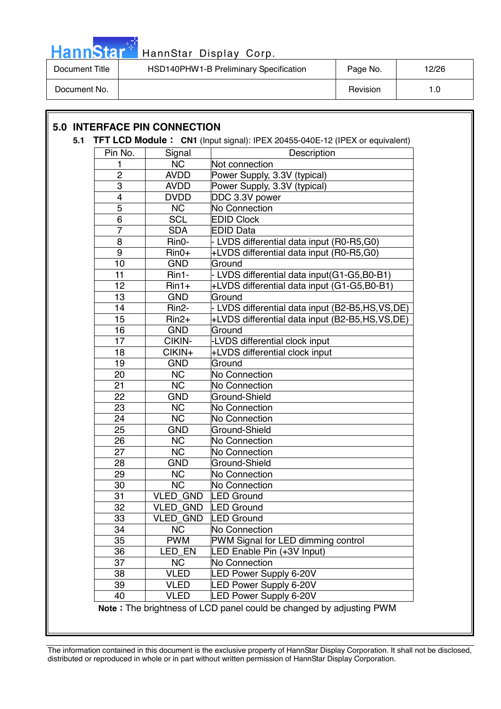

| Document Title | HSD140PHW1-B Preliminary Specification | Page No. | 12/26 |
|----------------|----------------------------------------|----------|-------|
| Document No.   |                                        | Revision | l.O   |

### **5.0 INTERFACE PIN CONNECTION**

#### **5.1 TFT LCD Module : CN1** (Input signal): IPEX 20455-040E-12 (IPEX or equivalent)

| Pin No.                 | Signal                 | Description                                                         |
|-------------------------|------------------------|---------------------------------------------------------------------|
| 1                       | <b>NC</b>              | Not connection                                                      |
| $\overline{2}$          | <b>AVDD</b>            | Power Supply, 3.3V (typical)                                        |
| $\overline{3}$          | <b>AVDD</b>            | Power Supply, 3.3V (typical)                                        |
| $\overline{\mathbf{4}}$ | <b>DVDD</b>            | DDC 3.3V power                                                      |
| $\overline{5}$          | <b>NC</b>              | No Connection                                                       |
| 6                       | <b>SCL</b>             | <b>EDID Clock</b>                                                   |
| $\overline{7}$          | <b>SDA</b>             | <b>EDID Data</b>                                                    |
| 8                       | Rin0-                  | - LVDS differential data input (R0-R5,G0)                           |
| $\overline{9}$          | $Rin0+$                | +LVDS differential data input (R0-R5,G0)                            |
| 10                      | <b>GND</b>             | Ground                                                              |
| 11                      | Rin1-                  | - LVDS differential data input(G1-G5,B0-B1)                         |
| 12                      | $Rin1+$                | +LVDS differential data input (G1-G5,B0-B1)                         |
| 13                      | <b>GND</b>             | Ground                                                              |
| 14                      | Rin2-                  | - LVDS differential data input (B2-B5,HS,VS,DE)                     |
| 15                      | $Rin2+$                | +LVDS differential data input (B2-B5,HS,VS,DE)                      |
| 16                      | <b>GND</b>             | Ground                                                              |
| 17                      | CIKIN-                 | -LVDS differential clock input                                      |
| 18                      | CIKIN+                 | +LVDS differential clock input                                      |
| 19                      | <b>GND</b>             | Ground                                                              |
| 20                      | <b>NC</b>              | No Connection                                                       |
| 21                      | <b>NC</b>              | No Connection                                                       |
| 22                      | <b>GND</b>             | Ground-Shield                                                       |
| 23                      | <b>NC</b>              | No Connection                                                       |
| 24                      | $\overline{\text{NC}}$ | No Connection                                                       |
| 25                      | <b>GND</b>             | Ground-Shield                                                       |
| 26                      | <b>NC</b>              | No Connection                                                       |
| 27                      | <b>NC</b>              | No Connection                                                       |
| 28                      | <b>GND</b>             | Ground-Shield                                                       |
| 29                      | <b>NC</b>              | No Connection                                                       |
| 30                      | <b>NC</b>              | No Connection                                                       |
| 31                      | <b>VLED GND</b>        | <b>LED Ground</b>                                                   |
| 32                      | <b>VLED GND</b>        | <b>LED Ground</b>                                                   |
| 33                      | <b>VLED GND</b>        | <b>LED Ground</b>                                                   |
| 34                      | <b>NC</b>              | No Connection                                                       |
| 35                      | <b>PWM</b>             | PWM Signal for LED dimming control                                  |
| 36                      | LED_EN                 | LED Enable Pin (+3V Input)                                          |
| 37                      | <b>NC</b>              | No Connection                                                       |
| 38                      | <b>VLED</b>            | <b>LED Power Supply 6-20V</b>                                       |
| 39                      | <b>VLED</b>            | <b>LED Power Supply 6-20V</b>                                       |
| 40                      | <b>VLED</b>            | <b>LED Power Supply 6-20V</b>                                       |
|                         |                        | Note: The brightness of LCD panel could be changed by adjusting PWM |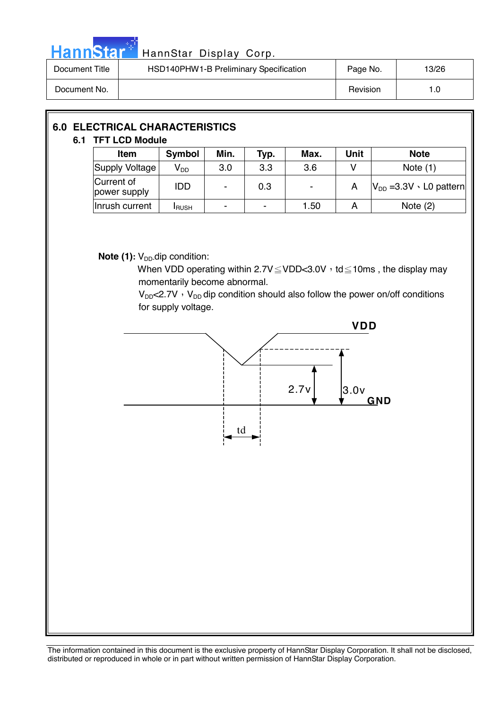

# Hann Star<sup>4</sup> HannStar Display Corp.

| Document Title | HSD140PHW1-B Preliminary Specification | Page No. | 13/26 |
|----------------|----------------------------------------|----------|-------|
| Document No.   |                                        | Revision | 1.0   |

#### **6.0 ELECTRICAL CHARACTERISTICS 6.1 TFT LCD Module**

| .<br>LVD MOUNIC            |                 |      |                |                |      |                                   |  |
|----------------------------|-----------------|------|----------------|----------------|------|-----------------------------------|--|
| <b>Item</b>                | <b>Symbol</b>   | Min. | Typ.           | Max.           | Unit | <b>Note</b>                       |  |
| Supply Voltage             | V <sub>DD</sub> | 3.0  | 3.3            | 3.6            |      | Note $(1)$                        |  |
| Current of<br>power supply | IDD             | -    | 0.3            | $\blacksquare$ | A    | $V_{DD}$ =3.3V $\cdot$ L0 pattern |  |
| Inrush current             | <b>I</b> RUSH   | -    | $\blacksquare$ | 1.50           | А    | Note $(2)$                        |  |

**Note (1):** V<sub>DD</sub>-dip condition:

When VDD operating within  $2.7V \leq VDD < 3.0V$ , td  $\leq 10$ ms, the display may momentarily become abnormal.

 $V_{DD}$ <2.7V  $\cdot$  V<sub>DD</sub> dip condition should also follow the power on/off conditions for supply voltage.

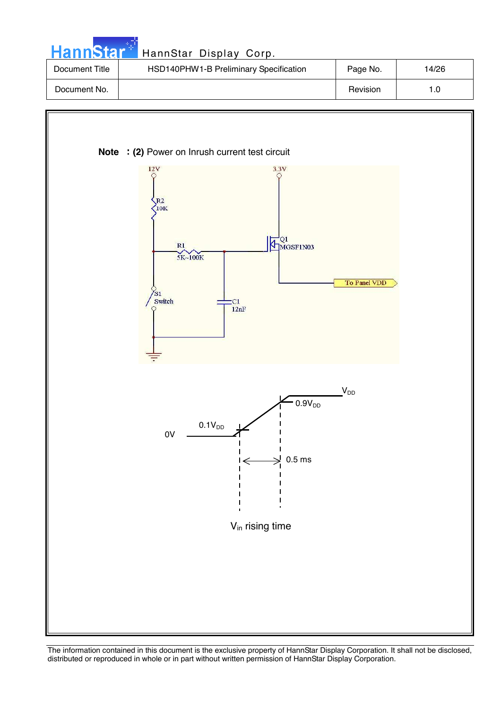| HannStar <sup>*</sup> | HannStar Display Corp.                 |          |       |
|-----------------------|----------------------------------------|----------|-------|
| Document Title        | HSD140PHW1-B Preliminary Specification | Page No. | 14/26 |
| Document No.          |                                        | Revision | 1.0   |

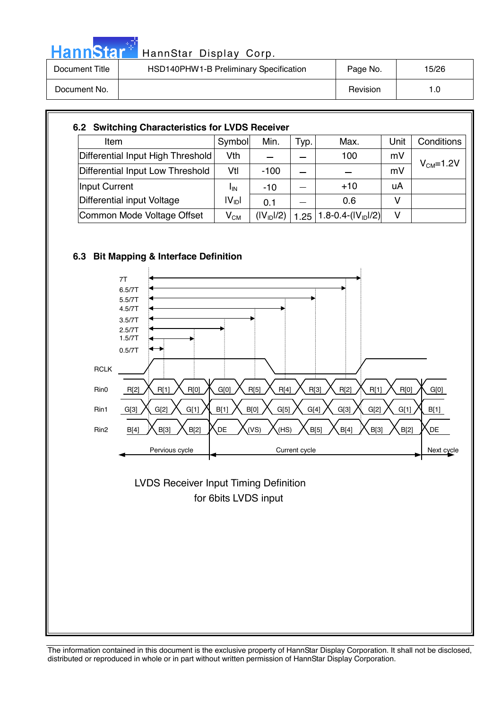|--|

| Document Title | HSD140PHW1-B Preliminary Specification | Page No. | 15/26 |
|----------------|----------------------------------------|----------|-------|
| Document No.   |                                        | Revision | 1.0   |

| Item                              | Symbol            | Min.                   | Typ. | Max.                             | Unit | Conditions |
|-----------------------------------|-------------------|------------------------|------|----------------------------------|------|------------|
| Differential Input High Threshold | Vth               |                        |      | 100                              | mV   |            |
| Differential Input Low Threshold  | Vtl               | $-100$                 |      |                                  | mV   | $VCM=1.2V$ |
| Input Current                     | <b>I</b> IN       | $-10$                  |      | $+10$                            | uA   |            |
| Differential input Voltage        | $ V_{\text{ID}} $ | 0.1                    |      | 0.6                              | v    |            |
| Common Mode Voltage Offset        | $V_{CM}$          | (IV <sub>ID</sub> ]/2) | 1.25 | 1.8-0.4- $(  V_{\text{ID}} /2 )$ | v    |            |





 for 6bits LVDS input LVDS Receiver Input Timing Definition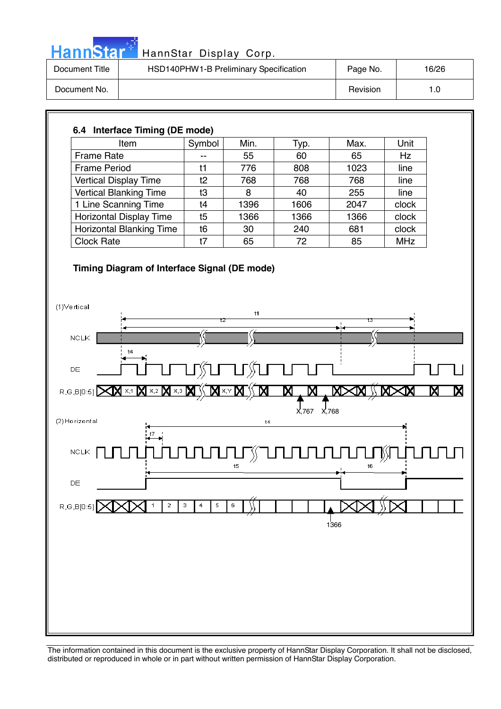|  | HannStar |  |
|--|----------|--|
|  |          |  |
|  |          |  |

| Document Title | HSD140PHW1-B Preliminary Specification | Page No. | 16/26 |
|----------------|----------------------------------------|----------|-------|
| Document No.   |                                        | Revision | 1.0   |

### **6.4 Interface Timing (DE mode)**  Item  $\vert$  Symbol | Min. | Typ. | Max. | Unit Frame Rate  $\begin{vmatrix} -1 & 55 & 60 \end{vmatrix}$  65 Hz Frame Period  $\begin{vmatrix} 11 & 776 & 808 & 1023 \end{vmatrix}$  line Vertical Display Time t2 768 768 768 line Vertical Blanking Time  $\begin{array}{|c|c|c|c|c|c|c|c|c|} \hline \end{array}$  8  $\begin{array}{|c|c|c|c|c|c|c|c|} \hline \end{array}$  40  $\begin{array}{|c|c|c|c|c|c|c|c|} \hline \end{array}$  255  $\begin{array}{|c|c|c|c|c|c|c|c|c|} \hline \end{array}$  line 1 Line Scanning Time t4 1396 1606 2047 clock Horizontal Display Time t5 1366 1366 1366 clock Horizontal Blanking Time t6 30 240 681 clock Clock Rate 1 t7 65 72 85 MHz **Timing Diagram of Interface Signal (DE mode)**  (1)Vertical  $+4$  $NCLK$  $^{+4}$ DE R,G,B[0:5] XV X1 X  $\overline{\mathsf{x}}$ ,2 X,767 X,768 (2) Horizontal  $t4$  $\sf NCLK$  $t5$  $t6$ DE  $\overline{2}$  $\overline{\mathbf{s}}$  $R, G, B[0:5]$  $\overline{1}$ 3  $\overline{4}$  $\mathbf 6$ ا<br>1366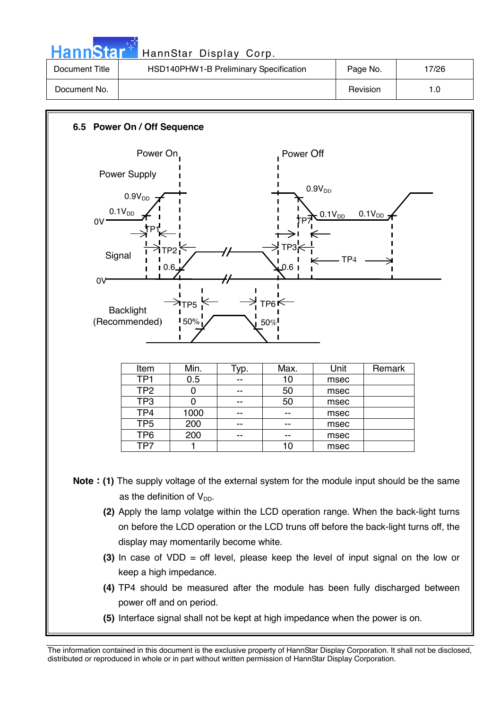| HannStar T     | HannStar Display Corp.                 |          |       |
|----------------|----------------------------------------|----------|-------|
| Document Title | HSD140PHW1-B Preliminary Specification | Page No. | 17/26 |
| Document No.   |                                        | Revision | 1.0   |

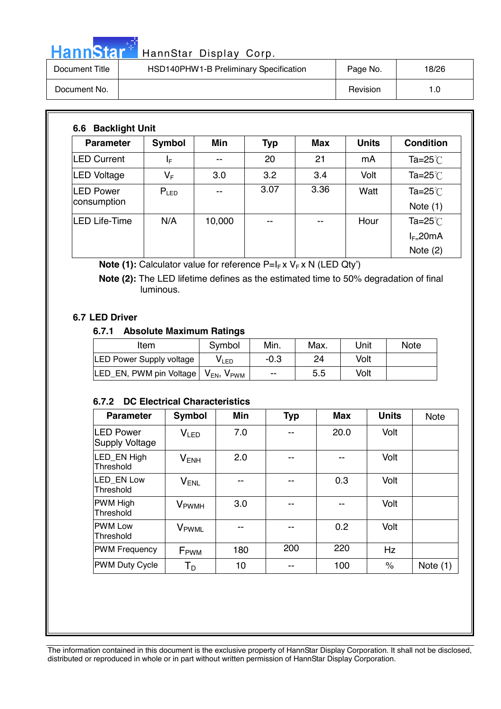# Hann<sup>Star</sub></sup>

| HannStar *     | HannStar Display Corp.                 |          |       |
|----------------|----------------------------------------|----------|-------|
| Document Title | HSD140PHW1-B Preliminary Specification | Page No. | 18/26 |
| Document No.   |                                        | Revision | 1.0   |

| <b>Parameter</b>                | Symbol                  | <b>Min</b> | <b>Typ</b> | <b>Max</b> | <b>Units</b> | <b>Condition</b>            |
|---------------------------------|-------------------------|------------|------------|------------|--------------|-----------------------------|
| <b>LED Current</b>              | ΙF                      | --         | 20         | 21         | mA           | Ta=25 $°C$                  |
| <b>LED Voltage</b>              | $\mathsf{V}_\mathsf{F}$ | 3.0        | 3.2        | 3.4        | Volt         | Ta= $25^{\circ}$            |
| <b>LED Power</b><br>consumption | $P_{LED}$               |            | 3.07       | 3.36       | Watt         | Ta=25 $°C$<br>Note $(1)$    |
| <b>LED Life-Time</b>            | N/A                     | 10,000     | --         |            | Hour         | Ta= $25^{\circ}$ C          |
|                                 |                         |            |            |            |              | $I_{F=}$ 20mA<br>Note $(2)$ |

**Note (1):** Calculator value for reference P=I<sub>F</sub> x V<sub>F</sub> x N (LED Qty')

 **Note (2):** The LED lifetime defines as the estimated time to 50% degradation of final luminous.

#### **6.7 LED Driver**

#### **6.7.1 Absolute Maximum Ratings**

| Item                            | Symbol                                | Min.   | Max. | Unit | <b>Note</b> |
|---------------------------------|---------------------------------------|--------|------|------|-------------|
| <b>LED Power Supply voltage</b> | V∟ED                                  | $-0.3$ | 24   | Volt |             |
| LED EN, PWM pin Voltage         | $V_{EN}$<br>$\mathsf{V}_\mathsf{PWM}$ | --     | 5.5  | Volt |             |

#### **6.7.2 DC Electrical Characteristics**

| <b>Parameter</b>                           | Symbol                   | <b>Min</b> | <b>Typ</b> | <b>Max</b> | <b>Units</b> | <b>Note</b> |
|--------------------------------------------|--------------------------|------------|------------|------------|--------------|-------------|
| <b>ILED Power</b><br><b>Supply Voltage</b> | V <sub>LED</sub>         | 7.0        | --         | 20.0       | Volt         |             |
| LED EN High<br>Threshold                   | $V_{ENH}$                | 2.0        | --         |            | Volt         |             |
| LED EN Low<br>Threshold                    | $V_{\sf ENL}$            | --         | --         | 0.3        | Volt         |             |
| <b>PWM High</b><br>Threshold               | <b>V</b> <sub>PWMH</sub> | 3.0        |            |            | Volt         |             |
| <b>PWM Low</b><br>Threshold                | <b>V</b> <sub>PWML</sub> |            | --         | 0.2        | Volt         |             |
| <b>PWM Frequency</b>                       | F <sub>PWM</sub>         | 180        | 200        | 220        | Hz           |             |
| <b>PWM Duty Cycle</b>                      | Т <sub>р</sub>           | 10         | --         | 100        | $\%$         | Note $(1)$  |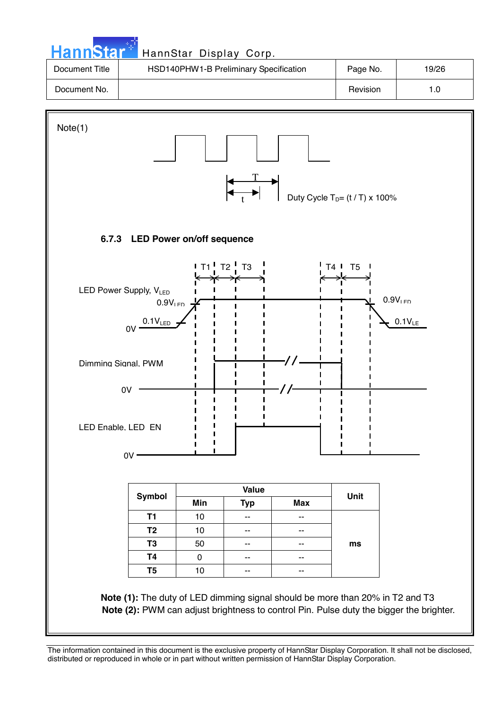| <b>HannStar</b> <sup>*</sup> | HannStar Display Corp.                 |          |       |
|------------------------------|----------------------------------------|----------|-------|
| Document Title               | HSD140PHW1-B Preliminary Specification | Page No. | 19/26 |
| Document No.                 |                                        | Revision | 1.0   |
|                              |                                        |          |       |

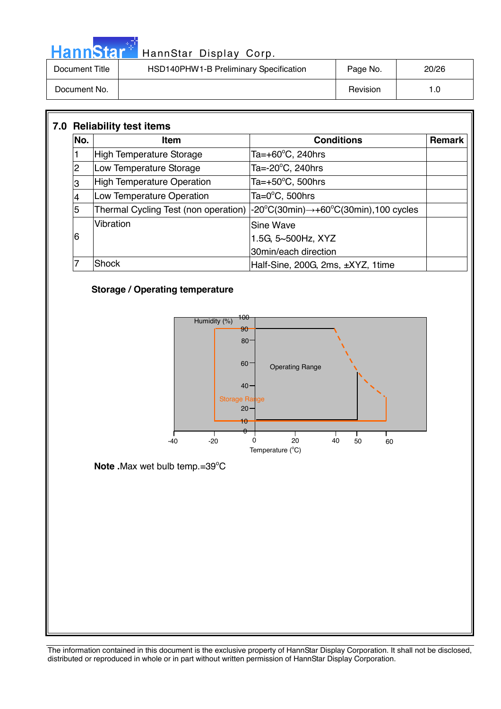| HannStar T     | HannStar Display Corp.                 |          |       |
|----------------|----------------------------------------|----------|-------|
| Document Title | HSD140PHW1-B Preliminary Specification | Page No. | 20/26 |
| Document No.   |                                        | Revision | 1.0   |

| No. | <b>Item</b>                       | <b>Conditions</b>                                                                                                     | Remark |
|-----|-----------------------------------|-----------------------------------------------------------------------------------------------------------------------|--------|
|     | High Temperature Storage          | Ta=+60 $\mathrm{^{\circ}C}$ , 240hrs                                                                                  |        |
| 2   | Low Temperature Storage           | Ta=-20°C, 240hrs                                                                                                      |        |
| 3   | <b>High Temperature Operation</b> | Ta= $+50^{\circ}$ C, 500hrs                                                                                           |        |
|     | Low Temperature Operation         | Ta= $0^{\circ}$ C, 500hrs                                                                                             |        |
| 5   |                                   | Thermal Cycling Test (non operation) $ -20^{\circ}C(30\text{min}) \rightarrow +60^{\circ}C(30\text{min})$ ,100 cycles |        |
|     | Vibration                         | Sine Wave                                                                                                             |        |
| 6   |                                   | 1.5G, 5~500Hz, XYZ                                                                                                    |        |
|     |                                   | 30min/each direction                                                                                                  |        |
|     | Shock                             | Half-Sine, 200G, 2ms, ±XYZ, 1time                                                                                     |        |

#### **Storage / Operating temperature**

الي بي.<br>مواليد



Note .Max wet bulb temp.=39°C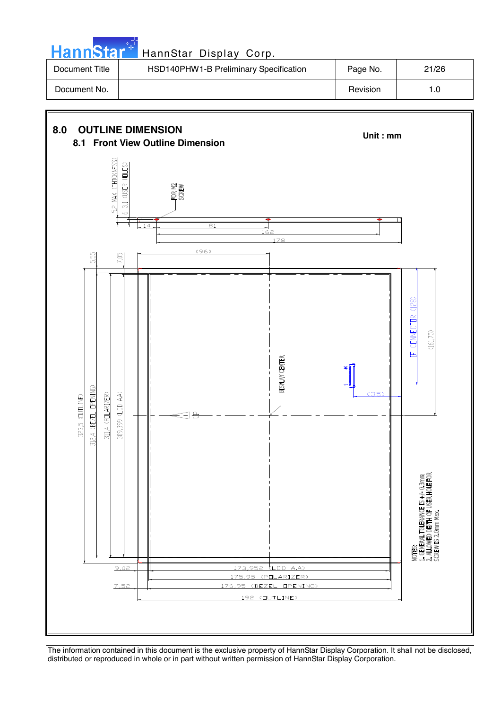**Hann**Star HannStar Display Corp. Document Title | HSD140PHW1-B Preliminary Specification | Page No. | 21/26 Document No. | 1.0

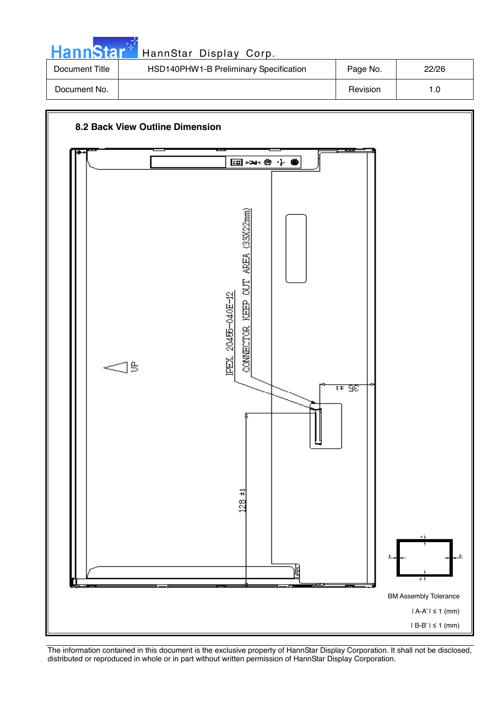| <b>HannStar*</b> | HannStar Display Corp.                 |          |       |
|------------------|----------------------------------------|----------|-------|
| Document Title   | HSD140PHW1-B Preliminary Specification | Page No. | 22/26 |
| Document No.     |                                        | Revision | 1.0   |

m.

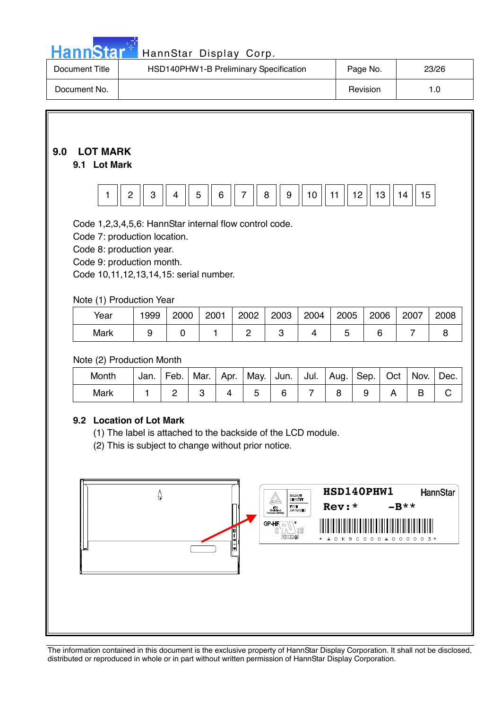# Hann Star<sup>t HannStar</sup> Display Corp.

| Document Title | HSD140PHW1-B Preliminary Specification | Page No. | 23/26 |
|----------------|----------------------------------------|----------|-------|
| Document No.   |                                        | Revision |       |

### **9.0 LOT MARK**

#### **9.1 Lot Mark**

|--|--|--|

Code 1,2,3,4,5,6: HannStar internal flow control code.

Code 7: production location.

Code 8: production year.

Code 9: production month.

Code 10,11,12,13,14,15: serial number.

#### Note (1) Production Year

| Year | 999 | 2000 | 2001 | 2002 | 2003 | 2004 | 2005 | 2006 | 2007 | 2008 |
|------|-----|------|------|------|------|------|------|------|------|------|
| Mark |     |      |      |      |      |      |      |      |      |      |

#### Note (2) Production Month

| Month | Jan. | Feb. | Mar. | Apr. | May.   Jun.   Jul.   Aug.   Sep.   Oct |  |  | Nov. | Dec. |
|-------|------|------|------|------|----------------------------------------|--|--|------|------|
| Mark  |      |      |      |      |                                        |  |  |      |      |

#### **9.2 Location of Lot Mark**

(1) The label is attached to the backside of the LCD module.

(2) This is subject to change without prior notice.

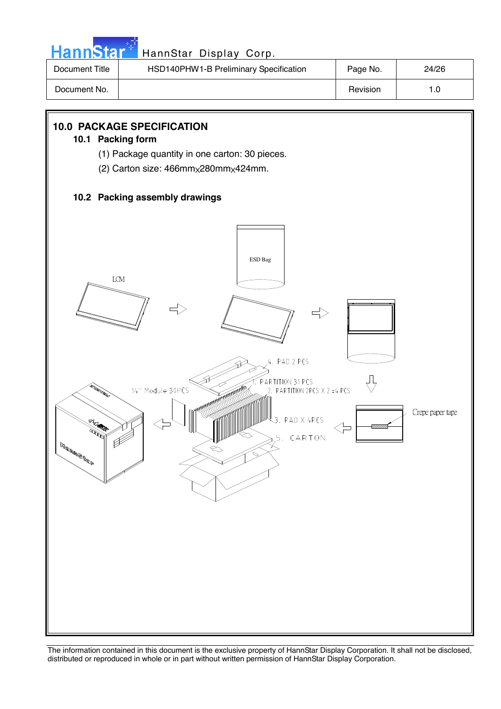

# Hann Star<sup>t HannStar</sup> Display Corp.

| Document Title | HSD140PHW1-B Preliminary Specification | Page No. | 24/26 |
|----------------|----------------------------------------|----------|-------|
| Document No.   |                                        | Revision |       |

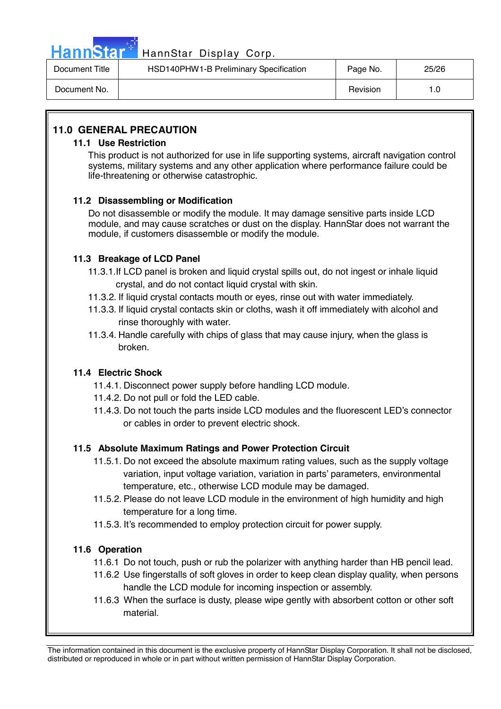

# Hann Star<sup>4</sup> HannStar Display Corp.

| Document Title | HSD140PHW1-B Preliminary Specification | Page No. | 25/26 |
|----------------|----------------------------------------|----------|-------|
| Document No.   |                                        | Revision | 1.G   |

#### **11.0 GENERAL PRECAUTION**

#### **11.1 Use Restriction**

This product is not authorized for use in life supporting systems, aircraft navigation control systems, military systems and any other application where performance failure could be life-threatening or otherwise catastrophic.

#### **11.2 Disassembling or Modification**

 Do not disassemble or modify the module. It may damage sensitive parts inside LCD module, and may cause scratches or dust on the display. HannStar does not warrant the module, if customers disassemble or modify the module.

#### **11.3 Breakage of LCD Panel**

- 11.3.1.If LCD panel is broken and liquid crystal spills out, do not ingest or inhale liquid crystal, and do not contact liquid crystal with skin.
- 11.3.2. If liquid crystal contacts mouth or eyes, rinse out with water immediately.
- 11.3.3. If liquid crystal contacts skin or cloths, wash it off immediately with alcohol and rinse thoroughly with water.
- 11.3.4. Handle carefully with chips of glass that may cause injury, when the glass is broken.

#### **11.4 Electric Shock**

- 11.4.1. Disconnect power supply before handling LCD module.
- 11.4.2. Do not pull or fold the LED cable.
- 11.4.3. Do not touch the parts inside LCD modules and the fluorescent LED's connector or cables in order to prevent electric shock.

#### **11.5 Absolute Maximum Ratings and Power Protection Circuit**

- 11.5.1. Do not exceed the absolute maximum rating values, such as the supply voltage variation, input voltage variation, variation in parts' parameters, environmental temperature, etc., otherwise LCD module may be damaged.
- 11.5.2. Please do not leave LCD module in the environment of high humidity and high temperature for a long time.
- 11.5.3. It's recommended to employ protection circuit for power supply.

#### **11.6 Operation**

- 11.6.1 Do not touch, push or rub the polarizer with anything harder than HB pencil lead.
- 11.6.2 Use fingerstalls of soft gloves in order to keep clean display quality, when persons handle the LCD module for incoming inspection or assembly.
- 11.6.3 When the surface is dusty, please wipe gently with absorbent cotton or other soft material.